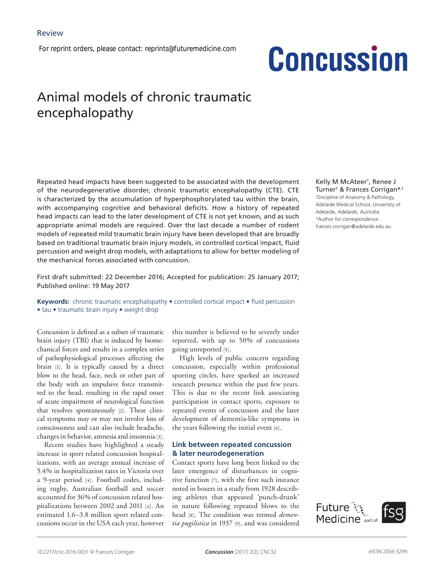*For reprint orders, please contact: reprints@futuremedicine.com*

# **Concussion**

# Animal models of chronic traumatic encephalopathy

Repeated head impacts have been suggested to be associated with the development of the neurodegenerative disorder, chronic traumatic encephalopathy (CTE). CTE is characterized by the accumulation of hyperphosphorylated tau within the brain, with accompanying cognitive and behavioral deficits. How a history of repeated head impacts can lead to the later development of CTE is not yet known, and as such appropriate animal models are required. Over the last decade a number of rodent models of repeated mild traumatic brain injury have been developed that are broadly based on traditional traumatic brain injury models, in controlled cortical impact, fluid percussion and weight drop models, with adaptations to allow for better modeling of the mechanical forces associated with concussion.

First draft submitted: 22 December 2016; Accepted for publication: 25 January 2017; Published online: 19 May 2017

**Keywords:** chronic traumatic encephalopathy • controlled cortical impact • fluid percussion • tau • traumatic brain injury • weight drop

Concussion is defined as a subset of traumatic brain injury (TBI) that is induced by biomechanical forces and results in a complex series of pathophysiological processes affecting the brain [1]. It is typically caused by a direct blow to the head, face, neck or other part of the body with an impulsive force transmitted to the head, resulting in the rapid onset of acute impairment of neurological function that resolves spontaneously [2]. These clinical symptoms may or may not involve loss of consciousness and can also include headache, changes in behavior, amnesia and insomnia [3].

Recent studies have highlighted a steady increase in sport related concussion hospitalizations, with an average annual increase of 5.4% in hospitalization rates in Victoria over a 9-year period [4]. Football codes, including rugby, Australian football and soccer accounted for 36% of concussion related hospitalizations between 2002 and 2011 [4]. An estimated 1.6–3.8 million sport related concussions occur in the USA each year, however

this number is believed to be severely under reported, with up to 50% of concussions going unreported [5].

High levels of public concern regarding concussion, especially within professional sporting circles, have sparked an increased research presence within the past few years. This is due to the recent link associating participation in contact sports, exposure to repeated events of concussion and the later development of dementia-like symptoms in the years following the initial event [6].

# **Link between repeated concussion & later neurodegeneration**

Contact sports have long been linked to the later emergence of disturbances in cognitive function [7], with the first such instance noted in boxers in a study from 1928 describing athletes that appeared 'punch-drunk' in nature following repeated blows to the head [8]. The condition was termed *dementia pugilistica* in 1937 [9], and was considered

Kelly M McAteer<sup>1</sup>, Renee J Turner1 & Frances Corrigan\*,1 1 Discipline of Anatomy & Pathology, Adelaide Medical School, University of Adelaide, Adelaide, Australia \*Author for correspondence: frances.corrigan@adelaide.edu.au

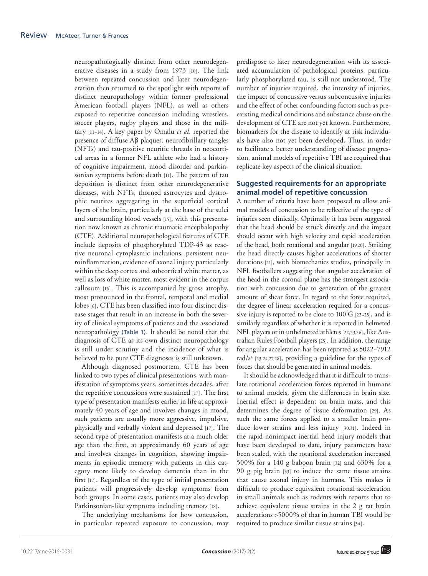neuropathologically distinct from other neurodegenerative diseases in a study from 1973 [10]. The link between repeated concussion and later neurodegeneration then returned to the spotlight with reports of distinct neuropathology within former professional American football players (NFL), as well as others exposed to repetitive concussion including wrestlers, soccer players, rugby players and those in the military [11–14]. A key paper by Omalu *et al.* reported the presence of diffuse Aβ plaques, neurofibrillary tangles (NFTs) and tau-positive neuritic threads in neocortical areas in a former NFL athlete who had a history of cognitive impairment, mood disorder and parkinsonian symptoms before death [11]. The pattern of tau deposition is distinct from other neurodegenerative diseases, with NFTs, thorned astrocytes and dystrophic neurites aggregating in the superficial cortical layers of the brain, particularly at the base of the sulci and surrounding blood vessels [15], with this presentation now known as chronic traumatic encephalopathy (CTE). Additional neuropathological features of CTE include deposits of phosphorylated TDP-43 as reactive neuronal cytoplasmic inclusions, persistent neuroinflammation, evidence of axonal injury particularly within the deep cortex and subcortical white matter, as well as loss of white matter, most evident in the corpus callosum [16]. This is accompanied by gross atrophy, most pronounced in the frontal, temporal and medial lobes [6]. CTE has been classified into four distinct disease stages that result in an increase in both the severity of clinical symptoms of patients and the associated neuropathology (Table 1). It should be noted that the diagnosis of CTE as its own distinct neuropathology is still under scrutiny and the incidence of what is believed to be pure CTE diagnoses is still unknown.

Although diagnosed postmortem, CTE has been linked to two types of clinical presentations, with manifestation of symptoms years, sometimes decades, after the repetitive concussions were sustained [17]. The first type of presentation manifests earlier in life at approximately 40 years of age and involves changes in mood, such patients are usually more aggressive, impulsive, physically and verbally violent and depressed [17]. The second type of presentation manifests at a much older age than the first, at approximately 60 years of age and involves changes in cognition, showing impairments in episodic memory with patients in this category more likely to develop dementia than in the first [17]. Regardless of the type of initial presentation patients will progressively develop symptoms from both groups. In some cases, patients may also develop Parkinsonian-like symptoms including tremors [18].

The underlying mechanisms for how concussion, in particular repeated exposure to concussion, may predispose to later neurodegeneration with its associated accumulation of pathological proteins, particularly phosphorylated tau, is still not understood. The number of injuries required, the intensity of injuries, the impact of concussive versus subconcussive injuries and the effect of other confounding factors such as preexisting medical conditions and substance abuse on the development of CTE are not yet known. Furthermore, biomarkers for the disease to identify at risk individuals have also not yet been developed. Thus, in order to facilitate a better understanding of disease progression, animal models of repetitive TBI are required that replicate key aspects of the clinical situation.

# **Suggested requirements for an appropriate animal model of repetitive concussion**

A number of criteria have been proposed to allow animal models of concussion to be reflective of the type of injuries seen clinically. Optimally it has been suggested that the head should be struck directly and the impact should occur with high velocity and rapid acceleration of the head, both rotational and angular [19,20]. Striking the head directly causes higher accelerations of shorter durations [21], with biomechanics studies, principally in NFL footballers suggesting that angular acceleration of the head in the coronal plane has the strongest association with concussion due to generation of the greatest amount of shear force. In regard to the force required, the degree of linear acceleration required for a concussive injury is reported to be close to 100 G [22–25], and is similarly regardless of whether it is reported in helmeted NFL players or in unhelmeted athletes [22,23,26], like Australian Rules Football players [25]. In addition, the range for angular acceleration has been reported as 5022–7912 rad/s<sup>2</sup> [23,24,27,28], providing a guideline for the types of forces that should be generated in animal models.

It should be acknowledged that it is difficult to translate rotational acceleration forces reported in humans to animal models, given the differences in brain size. Inertial effect is dependent on brain mass, and this determines the degree of tissue deformation [29]. As such the same forces applied to a smaller brain produce lower strains and less injury [30,31]. Indeed in the rapid nonimpact inertial head injury models that have been developed to date, injury parameters have been scaled, with the rotational acceleration increased 500% for a 140 g baboon brain [32] and 630% for a 90 g pig brain [33] to induce the same tissue strains that cause axonal injury in humans. This makes it difficult to produce equivalent rotational acceleration in small animals such as rodents with reports that to achieve equivalent tissue strains in the 2 g rat brain accelerations >5000% of that in human TBI would be required to produce similar tissue strains [34].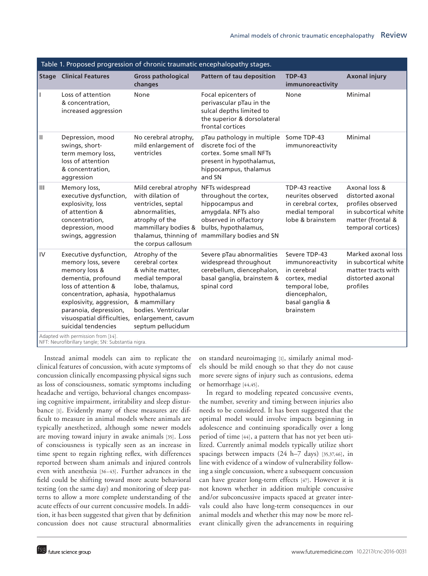|                |                                                                                                                                                                                                                                                  |                                                                                                                                                                                              | Table 1. Proposed progression of chronic traumatic encephalopathy stages.                                                                                           |                                                                                                                                       |                                                                                                                           |
|----------------|--------------------------------------------------------------------------------------------------------------------------------------------------------------------------------------------------------------------------------------------------|----------------------------------------------------------------------------------------------------------------------------------------------------------------------------------------------|---------------------------------------------------------------------------------------------------------------------------------------------------------------------|---------------------------------------------------------------------------------------------------------------------------------------|---------------------------------------------------------------------------------------------------------------------------|
|                | <b>Stage Clinical Features</b>                                                                                                                                                                                                                   | <b>Gross pathological</b><br>changes                                                                                                                                                         | Pattern of tau deposition                                                                                                                                           | <b>TDP-43</b><br>immunoreactivity                                                                                                     | <b>Axonal injury</b>                                                                                                      |
|                | Loss of attention<br>& concentration,<br>increased aggression                                                                                                                                                                                    | None                                                                                                                                                                                         | Focal epicenters of<br>perivascular pTau in the<br>sulcal depths limited to<br>the superior & dorsolateral<br>frontal cortices                                      | None                                                                                                                                  | Minimal                                                                                                                   |
| $\mathbf{H}$   | Depression, mood<br>swings, short-<br>term memory loss,<br>loss of attention<br>& concentration,<br>aggression                                                                                                                                   | No cerebral atrophy,<br>mild enlargement of<br>ventricles                                                                                                                                    | pTau pathology in multiple<br>discrete foci of the<br>cortex. Some small NFTs<br>present in hypothalamus,<br>hippocampus, thalamus<br>and SN                        | Some TDP-43<br>immunoreactivity                                                                                                       | Minimal                                                                                                                   |
| $\mathbf{III}$ | Memory loss,<br>executive dysfunction,<br>explosivity, loss<br>of attention &<br>concentration,<br>depression, mood<br>swings, aggression                                                                                                        | Mild cerebral atrophy NFTs widespread<br>with dilation of<br>ventricles, septal<br>abnormalities,<br>atrophy of the<br>mammillary bodies &<br>the corpus callosum                            | throughout the cortex,<br>hippocampus and<br>amygdala. NFTs also<br>observed in olfactory<br>bulbs, hypothalamus,<br>thalamus, thinning of mammillary bodies and SN | TDP-43 reactive<br>neurites observed<br>in cerebral cortex,<br>medial temporal<br>lobe & brainstem                                    | Axonal loss &<br>distorted axonal<br>profiles observed<br>in subcortical white<br>matter (frontal &<br>temporal cortices) |
| IV             | Executive dysfunction,<br>memory loss, severe<br>memory loss &<br>dementia, profound<br>loss of attention &<br>concentration, aphasia,<br>explosivity, aggression,<br>paranoia, depression,<br>visuospatial difficulties,<br>suicidal tendencies | Atrophy of the<br>cerebral cortex<br>& white matter,<br>medial temporal<br>lobe, thalamus,<br>hypothalamus<br>& mammillary<br>bodies. Ventricular<br>enlargement, cavum<br>septum pellucidum | Severe pTau abnormalities<br>widespread throughout<br>cerebellum, diencephalon,<br>basal ganglia, brainstem &<br>spinal cord                                        | Severe TDP-43<br>immunoreactivity<br>in cerebral<br>cortex, medial<br>temporal lobe,<br>diencephalon,<br>basal ganglia &<br>brainstem | Marked axonal loss<br>in subcortical white<br>matter tracts with<br>distorted axonal<br>profiles                          |
|                | Adapted with permission from [14].<br>NFT: Neurofibrillary tangle; SN: Substantia nigra.                                                                                                                                                         |                                                                                                                                                                                              |                                                                                                                                                                     |                                                                                                                                       |                                                                                                                           |

Instead animal models can aim to replicate the clinical features of concussion, with acute symptoms of concussion clinically encompassing physical signs such as loss of consciousness, somatic symptoms including headache and vertigo, behavioral changes encompassing cognitive impairment, irritability and sleep disturbance [1]. Evidently many of these measures are difficult to measure in animal models where animals are typically anesthetized, although some newer models are moving toward injury in awake animals [35]. Loss of consciousness is typically seen as an increase in time spent to regain righting reflex, with differences reported between sham animals and injured controls even with anesthesia [36–43]. Further advances in the field could be shifting toward more acute behavioral testing (on the same day) and monitoring of sleep patterns to allow a more complete understanding of the acute effects of our current concussive models. In addition, it has been suggested that given that by definition concussion does not cause structural abnormalities

on standard neuroimaging [1], similarly animal models should be mild enough so that they do not cause more severe signs of injury such as contusions, edema or hemorrhage [44,45].

In regard to modeling repeated concussive events, the number, severity and timing between injuries also needs to be considered. It has been suggested that the optimal model would involve impacts beginning in adolescence and continuing sporadically over a long period of time [44], a pattern that has not yet been utilized. Currently animal models typically utilize short spacings between impacts (24 h–7 days) [35,37,46], in line with evidence of a window of vulnerability following a single concussion, where a subsequent concussion can have greater long-term effects [47]. However it is not known whether in addition multiple concussive and/or subconcussive impacts spaced at greater intervals could also have long-term consequences in our animal models and whether this may now be more relevant clinically given the advancements in requiring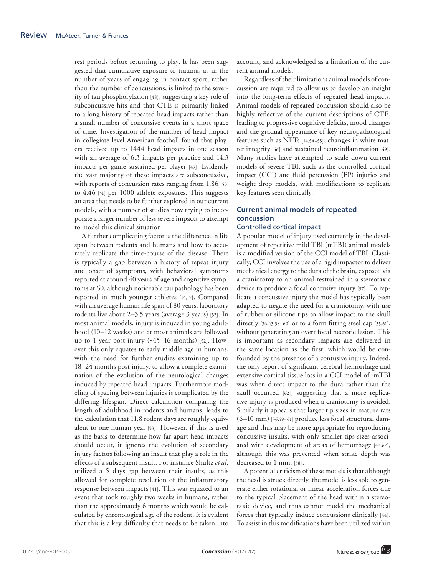rest periods before returning to play. It has been suggested that cumulative exposure to trauma, as in the number of years of engaging in contact sport, rather than the number of concussions, is linked to the severity of tau phosphorylation [48], suggesting a key role of subconcussive hits and that CTE is primarily linked to a long history of repeated head impacts rather than a small number of concussive events in a short space of time. Investigation of the number of head impact in collegiate level American football found that players received up to 1444 head impacts in one season with an average of 6.3 impacts per practice and 14.3 impacts per game sustained per player [49]. Evidently the vast majority of these impacts are subconcussive, with reports of concussion rates ranging from 1.86 [50] to 4.46 [51] per 1000 athlete exposures. This suggests an area that needs to be further explored in our current models, with a number of studies now trying to incorporate a larger number of less severe impacts to attempt to model this clinical situation.

A further complicating factor is the difference in life span between rodents and humans and how to accurately replicate the time-course of the disease. There is typically a gap between a history of repeat injury and onset of symptoms, with behavioral symptoms reported at around 40 years of age and cognitive symptoms at 60, although noticeable tau pathology has been reported in much younger athletes [14,17]. Compared with an average human life span of 80 years, laboratory rodents live about 2–3.5 years (average 3 years) [52]. In most animal models, injury is induced in young adulthood (10–12 weeks) and at most animals are followed up to 1 year post injury (∼15–16 months) [52]. However this only equates to early middle age in humans, with the need for further studies examining up to 18–24 months post injury, to allow a complete examination of the evolution of the neurological changes induced by repeated head impacts. Furthermore modeling of spacing between injuries is complicated by the differing lifespan. Direct calculation comparing the length of adulthood in rodents and humans, leads to the calculation that 11.8 rodent days are roughly equivalent to one human year [53]. However, if this is used as the basis to determine how far apart head impacts should occur, it ignores the evolution of secondary injury factors following an insult that play a role in the effects of a subsequent insult. For instance Shultz *et al.* utilized a 5 days gap between their insults, as this allowed for complete resolution of the inflammatory response between impacts [41]. This was equated to an event that took roughly two weeks in humans, rather than the approximately 6 months which would be calculated by chronological age of the rodent. It is evident that this is a key difficulty that needs to be taken into

account, and acknowledged as a limitation of the current animal models.

Regardless of their limitations animal models of concussion are required to allow us to develop an insight into the long-term effects of repeated head impacts. Animal models of repeated concussion should also be highly reflective of the current descriptions of CTE, leading to progressive cognitive deficits, mood changes and the gradual appearance of key neuropathological features such as NFTs [14,54–55], changes in white matter integrity [56] and sustained neuroinflammation [49]. Many studies have attempted to scale down current models of severe TBI, such as the controlled cortical impact (CCI) and fluid percussion (FP) injuries and weight drop models, with modifications to replicate key features seen clinically.

# **Current animal models of repeated concussion**

## Controlled cortical impact

A popular model of injury used currently in the development of repetitive mild TBI (mTBI) animal models is a modified version of the CCI model of TBI. Classically, CCI involves the use of a rigid impactor to deliver mechanical energy to the dura of the brain, exposed via a craniotomy to an animal restrained in a stereotaxic device to produce a focal contusive injury [57]. To replicate a concussive injury the model has typically been adapted to negate the need for a craniotomy, with use of rubber or silicone tips to allow impact to the skull directly [36,43,58-60] or to a form fitting steel cap [35,61], without generating an overt focal necrotic lesion. This is important as secondary impacts are delivered in the same location as the first, which would be confounded by the presence of a contusive injury. Indeed, the only report of significant cerebral hemorrhage and extensive cortical tissue loss in a CCI model of rmTBI was when direct impact to the dura rather than the skull occurred [62], suggesting that a more replicative injury is produced when a craniotomy is avoided. Similarly it appears that larger tip sizes in mature rats (6–10 mm) [36,59–61] produce less focal structural damage and thus may be more appropriate for reproducing concussive insults, with only smaller tips sizes associated with development of areas of hemorrhage [43,62], although this was prevented when strike depth was decreased to 1 mm. [58].

A potential criticism of these models is that although the head is struck directly, the model is less able to generate either rotational or linear acceleration forces due to the typical placement of the head within a stereotaxic device, and thus cannot model the mechanical forces that typically induce concussions clinically [44]. To assist in this modifications have been utilized within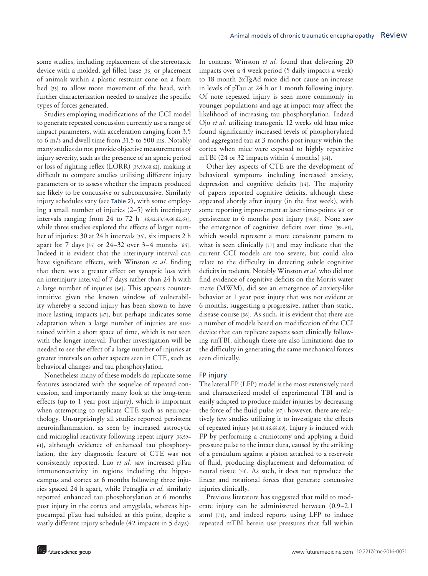some studies, including replacement of the stereotaxic device with a molded, gel filled base [36] or placement of animals within a plastic restraint cone on a foam bed [35] to allow more movement of the head, with further characterization needed to analyze the specific types of forces generated.

Studies employing modifications of the CCI model to generate repeated concussion currently use a range of impact parameters, with acceleration ranging from 3.5 to 6 m/s and dwell time from 31.5 to 500 ms. Notably many studies do not provide objective measurements of injury severity, such as the presence of an apneic period or loss of righting reflex (LORR) [35,59,60,62], making it difficult to compare studies utilizing different injury parameters or to assess whether the impacts produced are likely to be concussive or subconcussive. Similarly injury schedules vary (see Table 2), with some employing a small number of injuries (2–5) with interinjury intervals ranging from 24 to 72 h [36,42,43,59,60,62,63], while three studies explored the effects of larger number of injuries: 30 at 24 h intervals [36], six impacts 2 h apart for 7 days [35] or 24–32 over 3–4 months [64]. Indeed it is evident that the interinjury interval can have significant effects, with Winston *et al.* finding that there was a greater effect on synaptic loss with an interinjury interval of 7 days rather than 24 h with a large number of injuries [36]. This appears counterintuitive given the known window of vulnerability whereby a second injury has been shown to have more lasting impacts [47], but perhaps indicates some adaptation when a large number of injuries are sustained within a short space of time, which is not seen with the longer interval. Further investigation will be needed to see the effect of a large number of injuries at greater intervals on other aspects seen in CTE, such as behavioral changes and tau phosphorylation.

Nonetheless many of these models do replicate some features associated with the sequelae of repeated concussion, and importantly many look at the long-term effects (up to 1 year post injury), which is important when attempting to replicate CTE such as neuropathology. Unsurprisingly all studies reported persistent neuroinflammation, as seen by increased astrocytic and microglial reactivity following repeat injury [36,59– 61], although evidence of enhanced tau phosphorylation, the key diagnostic feature of CTE was not consistently reported. Luo *et al.* saw increased pTau immunoreactivity in regions including the hippocampus and cortex at 6 months following three injuries spaced 24 h apart, while Petraglia *et al.* similarly reported enhanced tau phosphorylation at 6 months post injury in the cortex and amygdala, whereas hippocampal pTau had subsided at this point, despite a vastly different injury schedule (42 impacts in 5 days).

In contrast Winston *et al.* found that delivering 20 impacts over a 4 week period (5 daily impacts a week) to 18 month 3xTgAd mice did not cause an increase in levels of pTau at 24 h or 1 month following injury. Of note repeated injury is seen more commonly in younger populations and age at impact may affect the likelihood of increasing tau phosphorylation. Indeed Ojo *et al.* utilizing transgenic 12 weeks old htau mice found significantly increased levels of phosphorylated and aggregated tau at 3 months post injury within the cortex when mice were exposed to highly repetitive mTBI (24 or 32 impacts within 4 months) [64].

Other key aspects of CTE are the development of behavioral symptoms including increased anxiety, depression and cognitive deficits [14]. The majority of papers reported cognitive deficits, although these appeared shortly after injury (in the first week), with some reporting improvement at later time-points [60] or persistence to 6 months post injury [59,61]. None saw the emergence of cognitive deficits over time [59–61], which would represent a more consistent pattern to what is seen clinically [17] and may indicate that the current CCI models are too severe, but could also relate to the difficulty in detecting subtle cognitive deficits in rodents. Notably Winston *et al.* who did not find evidence of cognitive deficits on the Morris water maze (MWM), did see an emergence of anxiety-like behavior at 1 year post injury that was not evident at 6 months, suggesting a progressive, rather than static, disease course [36]. As such, it is evident that there are a number of models based on modification of the CCI device that can replicate aspects seen clinically following rmTBI, although there are also limitations due to the difficulty in generating the same mechanical forces seen clinically.

#### FP injury

The lateral FP (LFP) model is the most extensively used and characterized model of experimental TBI and is easily adapted to produce milder injuries by decreasing the force of the fluid pulse [67]; however, there are relatively few studies utilizing it to investigate the effects of repeated injury [40,41,46,68,69]. Injury is induced with FP by performing a craniotomy and applying a fluid pressure pulse to the intact dura, caused by the striking of a pendulum against a piston attached to a reservoir of fluid, producing displacement and deformation of neural tissue [70]. As such, it does not reproduce the linear and rotational forces that generate concussive injuries clinically.

Previous literature has suggested that mild to moderate injury can be administered between (0.9–2.1 atm) [71], and indeed reports using LFP to induce repeated mTBI herein use pressures that fall within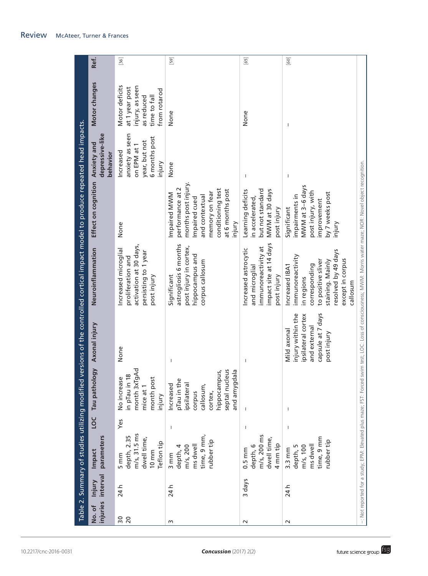|                 |                             |                                                                                          |                          |                                                                                                                                           |                                                                                                            | Table 2. Summary of studies utilizing modified versions of the controlled cortical impact model to produce repeated head impacts.                                  |                                                                                                                                                                 |                                                                                         |                                                                                                   |        |
|-----------------|-----------------------------|------------------------------------------------------------------------------------------|--------------------------|-------------------------------------------------------------------------------------------------------------------------------------------|------------------------------------------------------------------------------------------------------------|--------------------------------------------------------------------------------------------------------------------------------------------------------------------|-----------------------------------------------------------------------------------------------------------------------------------------------------------------|-----------------------------------------------------------------------------------------|---------------------------------------------------------------------------------------------------|--------|
| No.of           | injuries interval<br>Injury | parameters<br>Impact                                                                     | <b>DO</b>                | Tau pathology                                                                                                                             | Axonal injury                                                                                              | Neuroinflammation                                                                                                                                                  | Effect on cognition Anxiety and                                                                                                                                 | depressive-like<br>behavior                                                             | Motor changes                                                                                     | Ref.   |
| $\frac{20}{20}$ | 24 h                        | $m/s$ , 31.5 $ms$<br>depth, 2.35<br>dwell time,<br>Teflon tip<br>$10 \text{ mm}$<br>5 mm | Yes                      | month 3xTgAd<br>$\frac{8}{2}$<br>No increase<br>month post<br>in pTau in<br>mice at 1<br>injury                                           | None                                                                                                       | activation at 30 days,<br>Increased microglial<br>persisting to 1 year<br>proliferation and<br>post injury                                                         | None                                                                                                                                                            | anxiety as seen<br>6 months post<br>year, but not<br>on EPM at 1<br>Increased<br>injury | Motor deficits<br>injury, as seen<br>at 1 year post<br>from rotarod<br>as reduced<br>time to fall | $[36]$ |
| w               | 24 h                        | time, 9 mm,<br>rubber tip<br>m/s, 200<br>ms dwell<br>depth, 4<br>3 mm                    | $\overline{\phantom{a}}$ | septal nucleus<br>and amygdala<br>hippocampus,<br>$\mathbf 0$<br>ipsilateral<br>Increased<br>pTau in th<br>callosum,<br>corpus<br>cortex, | $\overline{\phantom{a}}$                                                                                   | astrogliosis 6 months<br>post injury in cortex,<br>hippocampus and<br>corpus callosum<br>Significant                                                               | months post injury.<br>performance at 2<br>conditioning test<br>at 6 months post<br>memory on fear<br>Impaired MWM<br>and contextual<br>Impaired cued<br>injury | None                                                                                    | None                                                                                              | $[59]$ |
| $\sim$          | 3 days                      | m/s, 200 ms<br>dwell time,<br>4 mm tip<br>depth, 6<br>$0.5 \, \text{mm}$                 | $\overline{1}$           |                                                                                                                                           | $\overline{\phantom{a}}$                                                                                   | impact site at 14 days<br>immunoreactivity at<br>Increased astrocytic<br>and microglial<br>post injury                                                             | Learning deficits<br>but not standard<br>MWM at 30 days<br>n accelerated,<br>post injury                                                                        | $\mathbf{I}$                                                                            | None                                                                                              | $[65]$ |
| $\sim$          | 24 h                        | time, 9 mm<br>rubber tip<br>ms dwell<br>$m/s$ , $100$<br>depth, 5<br>$3.3 \text{ mm}$    | $\overline{\phantom{a}}$ | $\mathbf{I}$                                                                                                                              | capsule at 7 days<br>injury within the<br>ipsilateral cortex<br>and external<br>Mild axonal<br>post injury | resolved by 49 days<br>immunoreactivity<br>except in corpus<br>to positive sliver<br>staining. Mainly<br>corresponding<br>Increased IBA1<br>in regions<br>callosum | MWM at 3-6 days<br>post injury, with<br>by 7 weeks post<br>impairments in<br>mprovement<br>Significant<br>njury                                                 | $\mathbf{I}$                                                                            |                                                                                                   | $[60]$ |
|                 |                             |                                                                                          |                          |                                                                                                                                           |                                                                                                            | -: Not reported for a study, EPM: Elevated plus maze; FST: Forced swim test; LOC: Loss of consciousness; MWM: Morris water maze; NOR: Novel object recognition.    |                                                                                                                                                                 |                                                                                         |                                                                                                   |        |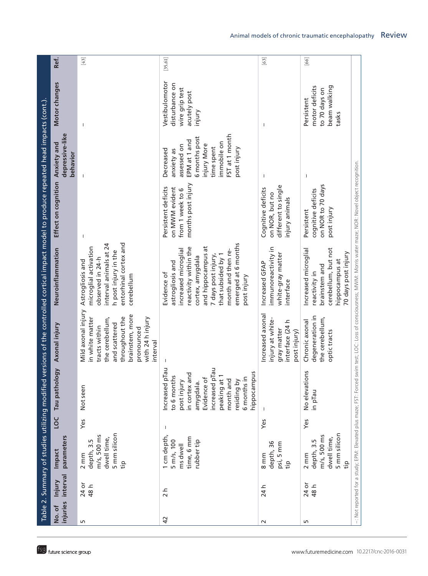|                |                                    |                                                                         |     |                                                                                                                                                                                       |                                                                                                                                                                              | Table 2. Summary of studies utilizing modified versions of the controlled cortical impact model to produce repeated head impacts (cont.).                                                                                           |                                                                                 |                                                                                                                                                      |                                                                              |            |
|----------------|------------------------------------|-------------------------------------------------------------------------|-----|---------------------------------------------------------------------------------------------------------------------------------------------------------------------------------------|------------------------------------------------------------------------------------------------------------------------------------------------------------------------------|-------------------------------------------------------------------------------------------------------------------------------------------------------------------------------------------------------------------------------------|---------------------------------------------------------------------------------|------------------------------------------------------------------------------------------------------------------------------------------------------|------------------------------------------------------------------------------|------------|
| No.of          | injuries interval<br><b>Injury</b> | parameters<br>Impact                                                    | LOC | <b>V6o</b><br>Tau pathol                                                                                                                                                              | Axonal injury                                                                                                                                                                | Neuroinflammation                                                                                                                                                                                                                   | Effect on cognition Anxiety and                                                 | depressive-like<br>behavior                                                                                                                          | Motor changes                                                                | Ref.       |
| S              | 24 or<br>48 h                      | 5 mm silicon<br>m/s, 500 ms<br>dwell time,<br>depth, 3.5<br>2 mm<br>tip | Yes | Not seen                                                                                                                                                                              | Mild axonal injury<br>brainstem, more<br>throughout the<br>with 24 h injury<br>in white matter<br>the cerebellum,<br>and scattered<br>tracts within<br>pronounced<br>nterval | entorhinal cortex and<br>interval animals at 24<br>microglial activation<br>h post injury in the<br>observed in 24-h<br>Astrogliosis and<br>cerebellum                                                                              | $\mathbf{I}$                                                                    |                                                                                                                                                      |                                                                              | $[43]$     |
| $\overline{4}$ | $\frac{1}{2}$                      | 1 cm depth,<br>time, 6 mm<br>rubber tip<br>5 m/s, 100<br>ms dwell       | J.  | Increased plau<br>increased pTau<br>peaking at 1<br>hippocampus<br>in cortex and<br>to 6 months<br>Evidence of<br>6 months in<br>post injury<br>month and<br>residing by<br>amygdala. |                                                                                                                                                                              | emerged at 6 months<br>and hippocampus at<br>reactivity within the<br>increased microglial<br>month and then re-<br>that subsided by 1<br>7 days post injury,<br>cortex, amygdala<br>astrogliosis and<br>Evidence of<br>post injury | months post injury<br>Persistent deficits<br>on MWM evident<br>from 1 week to 6 | FST at 1 month<br>6 months post<br>EPM at 1 and<br>immobile on<br>injury More<br>assessed on<br>time spent<br>post injury<br>Decreased<br>anxiety as | Vestibulomotor<br>disturbance on<br>wire grip test<br>acutely post<br>injury | $[35, 61]$ |
| $\sim$         | 24 h                               | depth, 36<br>psi, 5 mm<br>$8 \text{ mm}$<br>tip                         | Yes |                                                                                                                                                                                       | Increased axonal<br>injury at white-<br>interface (24 h<br>gray matter<br>post injury)                                                                                       | immunoreactivity in<br>white-gray matter<br>Increased GFAP<br>interface                                                                                                                                                             | different to single<br>Cognitive deficits<br>on NOR, but no<br>injury animals   | -1                                                                                                                                                   | $\mathbf{I}$                                                                 | $[63]$     |
| LO.            | 24 or<br>48 h                      | 5 mm silicon<br>m/s, 500 ms<br>dwell time,<br>depth, 3.5<br>2 mm<br>tip | Yes | No elevations<br>in pTau                                                                                                                                                              | degeneration in<br>the cerebellum,<br>Chronic axonal<br>optic tracts                                                                                                         | Increased microglial<br>cerebellum, but not<br>70 days post injury<br>hippocampus at<br>brainstem and<br>reactivity in                                                                                                              | on NOR to 70 days<br>cognitive deficits<br>post injury<br>Persistent            | J.                                                                                                                                                   | motor deficits<br>beam walking<br>to 70 days on<br>Persistent<br>tasks       | $[66]$     |
|                |                                    | -: Not reported for a study; EPM: Elevated plus maze; FST: Forced       |     |                                                                                                                                                                                       |                                                                                                                                                                              | swim test; LOC: Loss of consciousness; MWM: Morris water maze; NOR: Novel object recognition.                                                                                                                                       |                                                                                 |                                                                                                                                                      |                                                                              |            |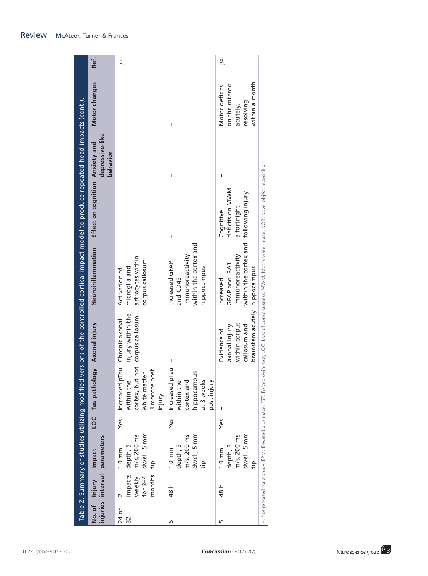| <b>Review</b> | <b>McAteer, Turner &amp; Frances</b> |  |
|---------------|--------------------------------------|--|
|---------------|--------------------------------------|--|

|                                                                                            | Ref.                                                           | $[64]$                                                                                                    |                                                                                        | $[58]$                                                                                                                                                                                    |  |
|--------------------------------------------------------------------------------------------|----------------------------------------------------------------|-----------------------------------------------------------------------------------------------------------|----------------------------------------------------------------------------------------|-------------------------------------------------------------------------------------------------------------------------------------------------------------------------------------------|--|
|                                                                                            | Motor changes                                                  |                                                                                                           | I                                                                                      | within a month<br>on the rotarod<br>Motor deficits<br>resolving<br>acutely,                                                                                                               |  |
| versions of the controlled cortical impact model to produce repeated head impacts (cont.). | depressive-like<br>Effect on cognition Anxiety and<br>behavior |                                                                                                           | I                                                                                      | I<br>deficits on MWM                                                                                                                                                                      |  |
|                                                                                            |                                                                |                                                                                                           | I                                                                                      | a fortnight<br>Cognitive                                                                                                                                                                  |  |
|                                                                                            | Neuroinflammation                                              | astrocytes within<br>corpus callosum<br>microglia and<br>Activation of                                    | within the cortex and<br>immunoreactivity<br>Increased GFAP<br>hippocampus<br>and CD45 | swim test; LOC: Loss of consciousness; MWM: Morris water maze; NOR: Novel object recognition.<br>within the cortex and following injury<br>immunoreactivity<br>GFAP and IBA1<br>Increased |  |
|                                                                                            |                                                                | injury within the<br>corpus callosum                                                                      | I                                                                                      | brainstem acutely hippocampus<br>within corpus<br>callosum and<br>axonal injury<br>Evidence of                                                                                            |  |
|                                                                                            | LOC Tau pathology Axonal injury                                | Increased plau Chronic axonal<br>cortex, but not<br>3 months post<br>white matter<br>within the<br>injury | Increased plau<br>hippocampus<br>within the<br>cortex and<br>at 3 weeks<br>post injury |                                                                                                                                                                                           |  |
|                                                                                            |                                                                | Yes                                                                                                       | Yes                                                                                    | Yes                                                                                                                                                                                       |  |
| Table 2. Summary of studies utilizing modified                                             | injuries interval parameters<br>Impact                         | dwell, 5 mm<br>m/s, 200 ms<br>depth, 5<br>$1.0 \text{ mm}$<br>tip                                         | dwell, 5 mm<br>m/s, 200 ms<br>depth, 5<br>$1.0 \text{ mm}$<br>tip                      | -: Not reported for a study; EPM: Elevated plus maze; FST: Forced<br>dwell, 5 mm<br>$m/s$ , $200$ ms<br>depth, 5<br>$1.0 \text{ mm}$<br>tip                                               |  |
|                                                                                            |                                                                | impacts<br>weekly<br>months<br>for $3-4$                                                                  | 48 h                                                                                   | 48 h                                                                                                                                                                                      |  |
|                                                                                            | No. of Injury                                                  | 24 or<br>32                                                                                               | Б                                                                                      | Б                                                                                                                                                                                         |  |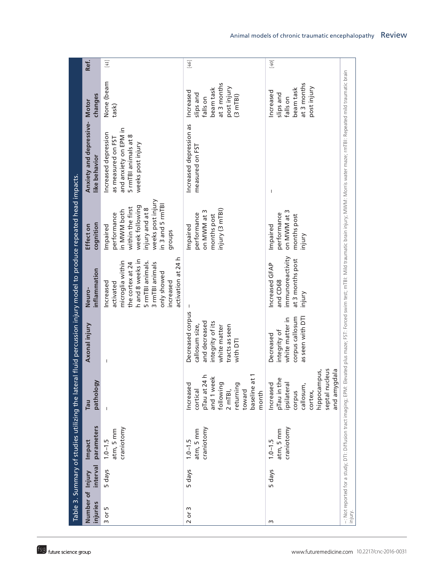| Ref.<br>$[41]$<br>$[46]$<br>$[40]$<br>None (beam<br>at 3 months<br>at 3 months<br>post injury<br>post injury<br>beam task<br>beam task<br>Increased<br>Increased<br>slips and<br>slips and<br>changes<br>$(3 \text{ mTBI})$<br>falls on<br>falls on<br>Anxiety and depressive- Motor<br>task)<br>Increased depression as<br>and anxiety on EPM in<br>Increased depression<br>5 rmTBI animals at 8<br>as measured on FST<br>weeks post injury<br>measured on FST<br>like behavior<br>$\mathbf{I}$<br>weeks post injury<br>in 3 and 5 rmTBI<br>week following<br>within the first<br>injury and at 8<br>injury (3 mTBI)<br>in MWM both<br>on MWW at 3<br>on MWM at 3<br>performance<br>performance<br>performance<br>months post<br>months post<br>cognition<br>Impaired<br>Impaired<br>Effect on<br>Impaired<br>groups<br>injury<br>immunoreactivity<br>activation at 24 h<br>at 3 months post<br>h and 8 weeks in<br>microglia within<br>5 rmTBI animals.<br>3 rmTBI animals<br>the cortex at 24<br>Increased GFAP<br>inflammation<br>only showed<br>and CD68<br>activated<br>increased<br>Increased<br>Neuro-<br>injury |
|--------------------------------------------------------------------------------------------------------------------------------------------------------------------------------------------------------------------------------------------------------------------------------------------------------------------------------------------------------------------------------------------------------------------------------------------------------------------------------------------------------------------------------------------------------------------------------------------------------------------------------------------------------------------------------------------------------------------------------------------------------------------------------------------------------------------------------------------------------------------------------------------------------------------------------------------------------------------------------------------------------------------------------------------------------------------------------------------------------------------------|
|                                                                                                                                                                                                                                                                                                                                                                                                                                                                                                                                                                                                                                                                                                                                                                                                                                                                                                                                                                                                                                                                                                                          |
|                                                                                                                                                                                                                                                                                                                                                                                                                                                                                                                                                                                                                                                                                                                                                                                                                                                                                                                                                                                                                                                                                                                          |
|                                                                                                                                                                                                                                                                                                                                                                                                                                                                                                                                                                                                                                                                                                                                                                                                                                                                                                                                                                                                                                                                                                                          |
|                                                                                                                                                                                                                                                                                                                                                                                                                                                                                                                                                                                                                                                                                                                                                                                                                                                                                                                                                                                                                                                                                                                          |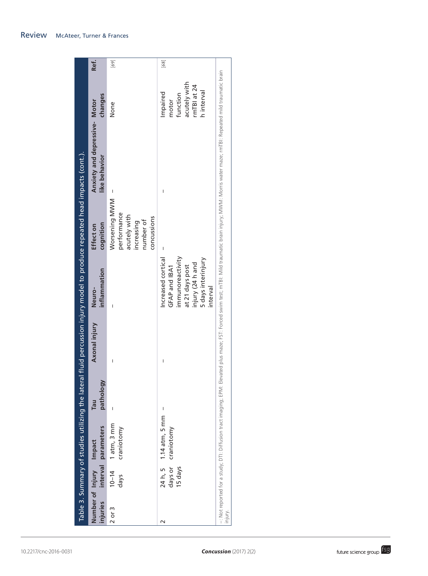| injuries   | Number of Injury Impact       | interval parameters            | pathology<br>Tau | Axonal injury | inflammation<br>Neuro-                                                                                                         | cognition<br>Effect on                                                                 | Anxiety and depressive- Motor<br>like behavior                                                                                                                                                                     | changes                                                                    | Ref.                                                                                                                                                                                                                                                                                                                                                                                                                                                                                                                                                                    |
|------------|-------------------------------|--------------------------------|------------------|---------------|--------------------------------------------------------------------------------------------------------------------------------|----------------------------------------------------------------------------------------|--------------------------------------------------------------------------------------------------------------------------------------------------------------------------------------------------------------------|----------------------------------------------------------------------------|-------------------------------------------------------------------------------------------------------------------------------------------------------------------------------------------------------------------------------------------------------------------------------------------------------------------------------------------------------------------------------------------------------------------------------------------------------------------------------------------------------------------------------------------------------------------------|
| $2$ or $3$ | $10 - 14$<br>days             | 1 atm, 3 mm<br>craniotomy      | Ï                | I             | I                                                                                                                              | Worsening MWM<br>performance<br>acutely with<br>concussions<br>number of<br>increasing |                                                                                                                                                                                                                    | None                                                                       | $[69]$                                                                                                                                                                                                                                                                                                                                                                                                                                                                                                                                                                  |
| $\sim$     | 24 h, 5<br>days or<br>15 days | $1.14$ atm, 5 mm<br>craniotomy | I                | I             | immunoreactivity<br>5 days interinjury<br>Increased cortica<br>injury (24 h and<br>at 21 days post<br>GFAP and IBA1<br>nterval | I                                                                                      | I                                                                                                                                                                                                                  | acutely with<br>rmTBI at 24<br>h interval<br>Impaired<br>function<br>motor | $[68] \centering% \includegraphics[width=0.8\textwidth]{images/TrDiC0000.pdf} \includegraphics[width=0.8\textwidth]{images/TrDiC0000.pdf} \includegraphics[width=0.8\textwidth]{images/TrDiC0000.pdf} \includegraphics[width=0.8\textwidth]{images/TrDiC0000.pdf} \includegraphics[width=0.8\textwidth]{images/TrDiC0000.pdf} \includegraphics[width=0.8\textwidth]{images/TrDiC0000.pdf} \includegraphics[width=0.8\textwidth]{images/TrDiC0000.pdf} \includegraphics[width=0.8\textwidth]{images/TrDiC0000.pdf} \includegraphics[width=0.8\textwidth]{images/TrDiC00$ |
| injury.    |                               |                                |                  |               |                                                                                                                                |                                                                                        | -: Not reported for a study; DTI: Diffusion tract imaging; EPM: EPM: EPM: Elevated plus maze; FST: Forced swim test; mTBI: Mid traumatic brain injury; MWM: Morris water maze; mTBI: Repeated mild traumatic brain |                                                                            |                                                                                                                                                                                                                                                                                                                                                                                                                                                                                                                                                                         |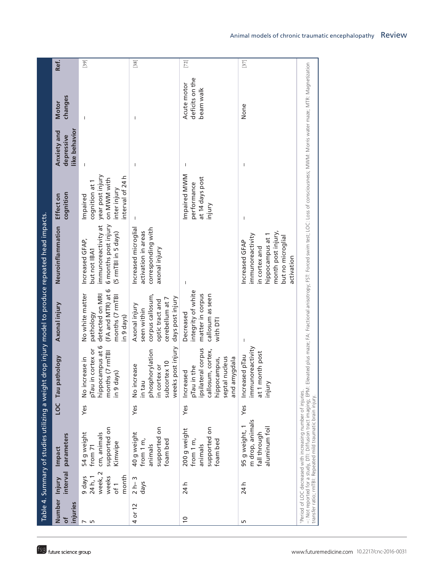|                         |                                                          |                                                                                                                              |     |                                                                                                                       |                                                                                                            | Table 4. Summary of studies utilizing a weight drop injury model to produce repeated head impacts.                                                                                                                     |                                                                                                   |                                            |                                             |        |
|-------------------------|----------------------------------------------------------|------------------------------------------------------------------------------------------------------------------------------|-----|-----------------------------------------------------------------------------------------------------------------------|------------------------------------------------------------------------------------------------------------|------------------------------------------------------------------------------------------------------------------------------------------------------------------------------------------------------------------------|---------------------------------------------------------------------------------------------------|--------------------------------------------|---------------------------------------------|--------|
| Number<br>injuries<br>ð | interval<br>Injury                                       | parameters<br>Impact                                                                                                         |     | LOC Tau pathology                                                                                                     | Axonal injury                                                                                              | Neuroinflammation                                                                                                                                                                                                      | cognition<br>Effect on                                                                            | like behavior<br>Anxiety and<br>depressive | changes<br><b>Motor</b>                     | Ref.   |
| $\sim$ 50               | week, 2<br>month<br>9 days<br>24 h, 1<br>weeks<br>$of$ 1 | supported on<br>54 g weight<br>cm, animals<br>Kimwipe<br>from 71                                                             | Yes | hippocampus at 6<br>pTau in cortex or<br>months (7 rmTBI<br>No increase in<br>in 9 days)                              | (FA and MTR) at 6<br>No white matter<br>months (7 rmTBI<br>detected on MRI<br>pathology<br>in 9 days)      | 6 months post injury<br>immunoreactivity at<br>(5 rmTBI in 5 days)<br>Increased GFAP,<br>but not IBA1                                                                                                                  | year post injury<br>interval of 24 h<br>on MWM with<br>cognition at 1<br>inter injury<br>Impaired | $\overline{\phantom{a}}$                   |                                             | $[39]$ |
| 4 or 12                 | $2 h - 3$<br>days                                        | supported on<br>40 g weight<br>foam bed<br>from 1 m,<br>animals                                                              | Yes | weeks post injury<br>phosphorylation<br>subcortex 10<br>No increase<br>in cortex or<br>in tau                         | corpus callosum,<br>days post injury<br>cerebellum at 7<br>optic tract and<br>Axonal injury<br>seen within | Increased microglial<br>corresponding with<br>activation in areas<br>axonal injury                                                                                                                                     | $\mathbf{I}$                                                                                      |                                            | I                                           | $[38]$ |
| $\approx$               | 24 h                                                     | supported on<br>200 g weight<br>from 1 m,<br>foam bed<br>animals                                                             | Yes | ipsilateral corpus<br>callosum, cortex,<br>septal nucleus<br>and amygdala<br>hippocampus,<br>pTau in the<br>Increased | integrity of white<br>matter in corpus<br>callosum as seen<br>Decreased<br>with DTI                        |                                                                                                                                                                                                                        | Impaired MWM<br>at 14 days post<br>performance<br>injury                                          | $\mathbf{I}$                               | deficits on the<br>Acute motor<br>beam walk | $[72]$ |
| S                       | 24 h                                                     | m drop, animals<br>aluminum foil<br>95 g weight,<br>fall through                                                             | Yes | immunoreactivity<br>at 1 month post<br>Increased pTau<br>injury                                                       | $\mathbf{I}$                                                                                               | month post injury,<br>hippocampus at 1<br>immunoreactivity<br>but no microglial<br>Increased GFAP<br>in cortex and<br>activation                                                                                       | $\mathsf{I}$                                                                                      | $\mathsf{I}$                               | None                                        | $[37]$ |
|                         |                                                          | *Period of LOC decreased with increasing number of injuries.<br>transfer ratio; rmTBI: Repeated mild traumatic brain injury. |     |                                                                                                                       |                                                                                                            | in Not reported for a study, DTI: Diffusion tract imaging; EPM: Elevated plus maze; FA: Fractional anisotropy; FST: Forced swim test; LOC: Loss of consciousness; MWM: Morris water maze; MTR: Magnetization والمعاملة |                                                                                                   |                                            |                                             |        |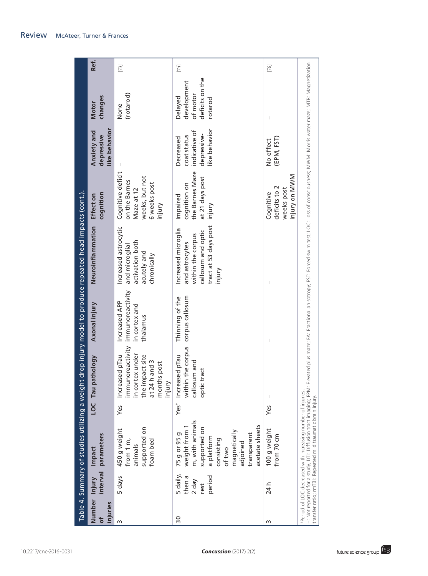|                                 |                                                 |                                                                                                                                                                                                |                  |                                                                                                                         |                                                                | Table 4. Summary of studies utilizing a weight drop injury model to produce repeated head impacts (cont.).                                   |                                                                                              |                                                                           |                                                                  |        |
|---------------------------------|-------------------------------------------------|------------------------------------------------------------------------------------------------------------------------------------------------------------------------------------------------|------------------|-------------------------------------------------------------------------------------------------------------------------|----------------------------------------------------------------|----------------------------------------------------------------------------------------------------------------------------------------------|----------------------------------------------------------------------------------------------|---------------------------------------------------------------------------|------------------------------------------------------------------|--------|
| Number Injury<br>injuries<br>ඁ෮ | interval                                        | parameters<br>Impact                                                                                                                                                                           |                  | pathology<br>LOC Tau                                                                                                    | Axonal injury                                                  | Neuroinflammation                                                                                                                            | cognition<br>Effect on                                                                       | like behavior<br>Anxiety and<br>depressive                                | changes<br><b>Motor</b>                                          | Ref.   |
| m                               | 5 days                                          | supported on<br>450 g weight<br>from 1 m,<br>foam bed<br>animals                                                                                                                               | Yes              | immunoreactivity<br>in cortex under<br>mpact site<br>Increased plau<br>at 24 h and 3<br>months post<br>injury<br>the in | immunoreactivity<br>Increased APP<br>in cortex and<br>thalamus | Increased astrocytic<br>activation both<br>and microglial<br>acutely and<br>chronically                                                      | Cognitive deficit<br>weeks, but not<br>on the Barnes<br>6 weeks post<br>Maze at 12<br>injury | $\overline{\phantom{a}}$                                                  | (rotarod)<br>None                                                | $[73]$ |
| $\overline{30}$                 | 5 daily,<br>then a<br>period<br>$2$ day<br>rest | m, with animals<br>acetate sheets<br>supported on<br>weight from<br>magnetically<br>75 g or 95 g<br>transparent<br>a platform<br>consisting<br>adjoined<br>of two                              | Yes <sup>+</sup> | within the corpus<br>Increased plau<br>callosum and<br>optic tract                                                      | corpus callosum<br>Thinning of the                             | tract at 53 days post<br>Increased microglia<br>callosum and optic<br>within the corpus<br>and astrocytes<br>injury                          | the Barnes Maze<br>at 21 days post<br>cognition on<br>Impaired<br>injury                     | like behavior<br>indicative of<br>depressive-<br>coat status<br>Decreased | deficits on the<br>development<br>of motor<br>Delayed<br>rotarod | $[74]$ |
| m                               | 24 h                                            | 100 g weight<br>from 70 cm                                                                                                                                                                     | Yes              |                                                                                                                         | $\overline{\phantom{a}}$                                       |                                                                                                                                              | injury on MWM<br>deficits to 2<br>weeks post<br>Cognitive                                    | (EPM, FST)<br>No effect                                                   | $\mathsf I$                                                      | $[76]$ |
|                                 |                                                 | -: Not reported for a study, DTI: Diffusion tract imaging; EPM:<br>Period of LOC decreased with increasing number of injuries.<br>transfer ratio; rmTBI: Repeated mild traumatic brain injury. |                  |                                                                                                                         |                                                                | Elevated plus maze; FA: Fractional anisotropy; F5T: Forced swim test; LOC: Loss of consciousness; MWM: Morris water maze; MTR: Magnetization |                                                                                              |                                                                           |                                                                  |        |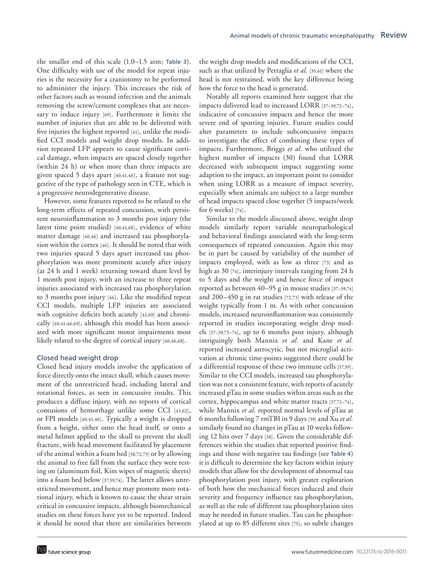the smaller end of this scale (1.0–1.5 atm; Table 3). One difficulty with use of the model for repeat injuries is the necessity for a craniotomy to be performed to administer the injury. This increases the risk of other factors such as wound infection and the animals removing the screw/cement complexes that are necessary to induce injury [69]. Furthermore it limits the number of injuries that are able to be delivered with five injuries the highest reported [41], unlike the modified CCI models and weight drop models. In addition repeated LFP appears to cause significant cortical damage, when impacts are spaced closely together (within 24 h) or when more than three impacts are given spaced 5 days apart [40,41,46], a feature not suggestive of the type of pathology seen in CTE, which is a progressive neurodegenerative disease.

However, some features reported to be related to the long-term effects of repeated concussion, with persistent neuroinflammation to 3 months post injury (the latest time point studied) [40,41,68], evidence of white matter damage [40,46] and increased tau phosphorylation within the cortex [46]. It should be noted that with two injuries spaced 5 days apart increased tau phosphorylation was more prominent acutely after injury (at 24 h and 1 week) returning toward sham level by 1 month post injury, with an increase to three repeat injuries associated with increased tau phosphorylation to 3 months post injury [46]. Like the modified repeat CCI models, multiple LFP injuries are associated with cognitive deficits both acutely [41,69] and chronically [40,41,46,69], although this model has been associated with more significant motor impairments most likely related to the degree of cortical injury [40,46,68].

#### Closed head weight drop

Closed head injury models involve the application of force directly onto the intact skull, which causes movement of the unrestricted head, including lateral and rotational forces, as seen in concussive insults. This produces a diffuse injury, with no reports of cortical contusions of hemorrhage unlike some CCI [43,62], or FPI models [40,41,46]. Typically a weight is dropped from a height, either onto the head itself, or onto a metal helmet applied to the skull to prevent the skull fracture, with head movement facilitated by placement of the animal within a foam bed [38,72,73] or by allowing the animal to free fall from the surface they were resting on (aluminum foil, Kim wipes of magnetic sheets) into a foam bed below [37,39,74]. The latter allows unrestricted movement, and hence may promote more rotational injury, which is known to cause the shear strain critical in concussive impacts, although biomechanical studies on these forces have yet to be reported. Indeed it should be noted that there are similarities between

the weight drop models and modifications of the CCI, such as that utilized by Petraglia *et al.* [35,61] where the head is not restrained, with the key difference being how the force to the head is generated.

Notably all reports examined here suggest that the impacts delivered lead to increased LORR [37–39,72–74], indicative of concussive impacts and hence the more severe end of sporting injuries. Future studies could alter parameters to include subconcussive impacts to investigate the effect of combining these types of impacts. Furthermore, Briggs *et al.* who utilized the highest number of impacts (30) found that LORR decreased with subsequent impact suggesting some adaption to the impact, an important point to consider when using LORR as a measure of impact severity, especially when animals are subject to a large number of head impacts spaced close together (5 impacts/week for 6 weeks) [74].

Similar to the models discussed above, weight drop models similarly report variable neuropathological and behavioral findings associated with the long-term consequences of repeated concussion. Again this may be in part be caused by variability of the number of impacts employed, with as low as three [73] and as high as 30 [74], interinjury intervals ranging from 24 h to 5 days and the weight and hence force of impact reported as between 40–95 g in mouse studies [37–39,74] and 200–450 g in rat studies [72,73] with release of the weight typically from 1 m. As with other concussion models, increased neuroinflammation was consistently reported in studies incorporating weight drop models [37–39,73–74], up to 6 months post injury, although intriguingly both Mannix *et al.* and Kane *et al.* reported increased astrocytic, but not microglial activation at chronic time-points suggested there could be a differential response of these two immune cells [37,39]. Similar to the CCI models, increased tau phosphorylation was not a consistent feature, with reports of acutely increased pTau in some studies within areas such as the cortex, hippocampus and white matter tracts [37,72–74], while Mannix *et al.* reported normal levels of pTau at 6 months following 7 rmTBI in 9 days [39] and Xu *et al.* similarly found no changes in pTau at 10 weeks following 12 hits over 7 days [38]. Given the considerable differences within the studies that reported positive findings and those with negative tau findings (see Table 4) it is difficult to determine the key factors within injury models that allow for the development of abnormal tau phosphorylation post injury, with greater exploration of both how the mechanical forces induced and their severity and frequency influence tau phosphorylation, as well as the role of different tau phosphorylation sites may be needed in future studies. Tau can be phosphorylated at up to 85 different sites [75], so subtle changes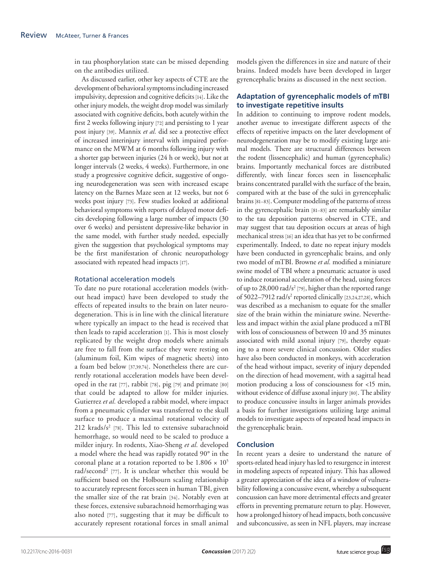in tau phosphorylation state can be missed depending on the antibodies utilized.

As discussed earlier, other key aspects of CTE are the development of behavioral symptoms including increased impulsivity, depression and cognitive deficits [14]. Like the other injury models, the weight drop model was similarly associated with cognitive deficits, both acutely within the first 2 weeks following injury [72] and persisting to 1 year post injury [39]. Mannix *et al.* did see a protective effect of increased interinjury interval with impaired performance on the MWM at 6 months following injury with a shorter gap between injuries (24 h or week), but not at longer intervals (2 weeks, 4 weeks). Furthermore, in one study a progressive cognitive deficit, suggestive of ongoing neurodegeneration was seen with increased escape latency on the Barnes Maze seen at 12 weeks, but not 6 weeks post injury [73]. Few studies looked at additional behavioral symptoms with reports of delayed motor deficits developing following a large number of impacts (30 over 6 weeks) and persistent depressive-like behavior in the same model, with further study needed, especially given the suggestion that psychological symptoms may be the first manifestation of chronic neuropathology associated with repeated head impacts [17].

## Rotational acceleration models

To date no pure rotational acceleration models (without head impact) have been developed to study the effects of repeated insults to the brain on later neurodegeneration. This is in line with the clinical literature where typically an impact to the head is received that then leads to rapid acceleration [1]. This is most closely replicated by the weight drop models where animals are free to fall from the surface they were resting on (aluminum foil, Kim wipes of magnetic sheets) into a foam bed below [37,39,74]. Nonetheless there are currently rotational acceleration models have been developed in the rat [77], rabbit [78], pig [79] and primate [80] that could be adapted to allow for milder injuries. Gutierrez *et al.* developed a rabbit model, where impact from a pneumatic cylinder was transferred to the skull surface to produce a maximal rotational velocity of 212 krads/s<sup>2</sup> [78]. This led to extensive subarachnoid hemorrhage, so would need to be scaled to produce a milder injury. In rodents, Xiao-Sheng *et al.* developed a model where the head was rapidly rotated 90° in the coronal plane at a rotation reported to be  $1.806 \times 10^5$ rad/second<sup>2</sup> [77]. It is unclear whether this would be sufficient based on the Holbourn scaling relationship to accurately represent forces seen in human TBI, given the smaller size of the rat brain [34]. Notably even at these forces, extensive subarachnoid hemorrhaging was also noted [77], suggesting that it may be difficult to accurately represent rotational forces in small animal

models given the differences in size and nature of their brains. Indeed models have been developed in larger gyrencephalic brains as discussed in the next section.

# **Adaptation of gyrencephalic models of mTBI to investigate repetitive insults**

In addition to continuing to improve rodent models, another avenue to investigate different aspects of the effects of repetitive impacts on the later development of neurodegeneration may be to modify existing large animal models. There are structural differences between the rodent (lissencephalic) and human (gyrencephalic) brains. Importantly mechanical forces are distributed differently, with linear forces seen in lissencephalic brains concentrated parallel with the surface of the brain, compared with at the base of the sulci in gyrencephalic brains [81–83]. Computer modeling of the patterns of stress in the gyrencephalic brain [81–83] are remarkably similar to the tau deposition patterns observed in CTE, and may suggest that tau deposition occurs at areas of high mechanical stress [16] an idea that has yet to be confirmed experimentally. Indeed, to date no repeat injury models have been conducted in gyrencephalic brains, and only two model of mTBI. Browne *et al.* modified a miniature swine model of TBI where a pneumatic actuator is used to induce rotational acceleration of the head, using forces of up to 28,000 rad/s<sup>2</sup> [79], higher than the reported range of 5022-7912 rad/s<sup>2</sup> reported clinically [23,24,27,28], which was described as a mechanism to equate for the smaller size of the brain within the miniature swine. Nevertheless and impact within the axial plane produced a mTBI with loss of consciousness of between 10 and 35 minutes associated with mild axonal injury [79], thereby equating to a more severe clinical concussion. Older studies have also been conducted in monkeys, with acceleration of the head without impact, severity of injury depended on the direction of head movement, with a sagittal head motion producing a loss of consciousness for <15 min, without evidence of diffuse axonal injury [80]. The ability to produce concussive insults in larger animals provides a basis for further investigations utilizing large animal models to investigate aspects of repeated head impacts in the gyrencephalic brain.

# **Conclusion**

In recent years a desire to understand the nature of sports-related head injury has led to resurgence in interest in modeling aspects of repeated injury. This has allowed a greater appreciation of the idea of a window of vulnerability following a concussive event, whereby a subsequent concussion can have more detrimental effects and greater efforts in preventing premature return to play. However, how a prolonged history of head impacts, both concussive and subconcussive, as seen in NFL players, may increase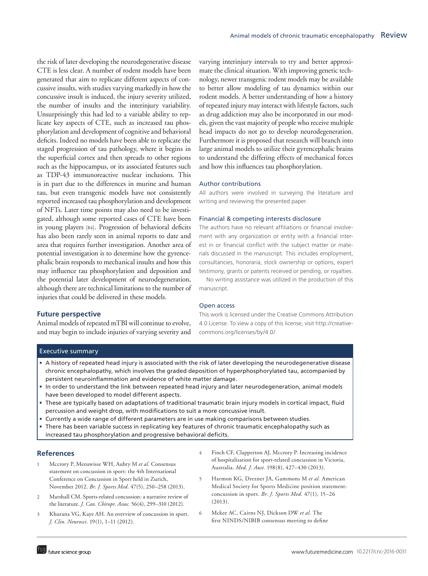the risk of later developing the neurodegenerative disease CTE is less clear. A number of rodent models have been generated that aim to replicate different aspects of concussive insults, with studies varying markedly in how the concussive insult is induced, the injury severity utilized, the number of insults and the interinjury variability. Unsurprisingly this had led to a variable ability to replicate key aspects of CTE, such as increased tau phosphorylation and development of cognitive and behavioral deficits. Indeed no models have been able to replicate the staged progression of tau pathology, where it begins in the superficial cortex and then spreads to other regions such as the hippocampus, or its associated features such as TDP-43 immunoreactive nuclear inclusions. This is in part due to the differences in murine and human tau, but even transgenic models have not consistently reported increased tau phosphorylation and development of NFTs. Later time points may also need to be investigated, although some reported cases of CTE have been in young players [84]. Progression of behavioral deficits has also been rarely seen in animal reports to date and area that requires further investigation. Another area of potential investigation is to determine how the gyrencephalic brain responds to mechanical insults and how this may influence tau phosphorylation and deposition and the potential later development of neurodegeneration, although there are technical limitations to the number of injuries that could be delivered in these models.

# varying interinjury intervals to try and better approximate the clinical situation. With improving genetic technology, newer transgenic rodent models may be available to better allow modeling of tau dynamics within our rodent models. A better understanding of how a history of repeated injury may interact with lifestyle factors, such as drug addiction may also be incorporated in our models, given the vast majority of people who receive multiple head impacts do not go to develop neurodegeneration. Furthermore it is proposed that research will branch into large animal models to utilize their gyrencephalic brains to understand the differing effects of mechanical forces and how this influences tau phosphorylation.

#### Author contributions

All authors were involved in surveying the literature and writing and reviewing the presented paper.

#### Financial & competing interests disclosure

The authors have no relevant affiliations or financial involvement with any organization or entity with a financial interest in or financial conflict with the subject matter or materials discussed in the manuscript. This includes employment, consultancies, honoraria, stock ownership or options, expert testimony, grants or patents received or pending, or royalties.

No writing assistance was utilized in the production of this manuscript.

#### Open access

#### **Future perspective**

Animal models of repeated mTBI will continue to evolve, and may begin to include injuries of varying severity and

This work is licensed under the Creative Commons Attribution 4.0 License. To view a copy of this license, visit http://creativecommons.org/licenses/by/4.0/

#### Executive summary

- • A history of repeated head injury is associated with the risk of later developing the neurodegenerative disease chronic encephalopathy, which involves the graded deposition of hyperphosphorylated tau, accompanied by persistent neuroinflammation and evidence of white matter damage.
- • In order to understand the link between repeated head injury and later neurodegeneration, animal models have been developed to model different aspects.
- • These are typically based on adaptations of traditional traumatic brain injury models in cortical impact, fluid percussion and weight drop, with modifications to suit a more concussive insult.
- • Currently a wide range of different parameters are in use making comparisons between studies.
- There has been variable success in replicating key features of chronic traumatic encephalopathy such as increased tau phosphorylation and progressive behavioral deficits.

#### **References**

- Mccrory P, Meeuwisse WH, Aubry M et al. Consensus statement on concussion in sport: the 4th International Conference on Concussion in Sport held in Zurich, November 2012. *Br. J. Sports Med.* 47(5), 250–258 (2013).
- 2 Marshall CM. Sports-related concussion: a narrative review of the literature. *J. Can. Chiropr. Assoc.* 56(4), 299–310 (2012).
- 3 Khurana VG, Kaye AH. An overview of concussion in sport. *J. Clin. Neurosci.* 19(1), 1–11 (2012).
- 4 Finch CF, Clapperton AJ, Mccrory P. Increasing incidence of hospitalisation for sport-related concussion in Victoria, Australia. *Med. J. Aust.* 198(8), 427–430 (2013).
- 5 Harmon KG, Drezner JA, Gammons M *et al.* American Medical Society for Sports Medicine position statement: concussion in sport. *Br. J. Sports Med.* 47(1), 15–26 (2013).
- 6 Mckee AC, Cairns NJ, Dickson DW *et al.* The first NINDS/NIBIB consensus meeting to define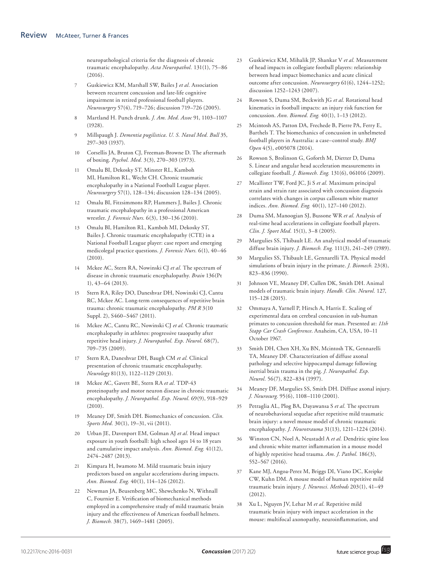neuropathological criteria for the diagnosis of chronic traumatic encephalopathy. *Acta Neuropathol.* 131(1), 75–86 (2016).

- 7 Guskiewicz KM, Marshall SW, Bailes J *et al.* Association between recurrent concussion and late-life cognitive impairment in retired professional football players. *Neurosurgery* 57(4), 719–726; discussion 719–726 (2005).
- 8 Martland H. Punch drunk. *J. Am. Med. Assoc* 91, 1103–1107 (1928).
- 9 Millspaugh J. *Dementia pugilistica*. *U. S. Naval Med. Bull* 35, 297–303 (1937).
- 10 Corsellis JA, Bruton CJ, Freeman-Browne D. The aftermath of boxing. *Psychol. Med.* 3(3), 270–303 (1973).
- 11 Omalu BI, Dekosky ST, Minster RL, Kamboh MI, Hamilton RL, Wecht CH. Chronic traumatic encephalopathy in a National Football League player. *Neurosurgery* 57(1), 128–134; discussion 128–134 (2005).
- 12 Omalu BI, Fitzsimmons RP, Hammers J, Bailes J. Chronic traumatic encephalopathy in a professional American wrestler. *J. Forensic Nurs.* 6(3), 130–136 (2010).
- 13 Omalu BI, Hamilton RL, Kamboh MI, Dekosky ST, Bailes J. Chronic traumatic encephalopathy (CTE) in a National Football League player: case report and emerging medicolegal practice questions. *J. Forensic Nurs.* 6(1), 40–46 (2010).
- 14 Mckee AC, Stern RA, Nowinski CJ *et al.* The spectrum of disease in chronic traumatic encephalopathy. *Brain* 136(Pt 1), 43–64 (2013).
- 15 Stern RA, Riley DO, Daneshvar DH, Nowinski CJ, Cantu RC, Mckee AC. Long-term consequences of repetitive brain trauma: chronic traumatic encephalopathy. *PM R* 3(10 Suppl. 2), S460–S467 (2011).
- 16 Mckee AC, Cantu RC, Nowinski CJ *et al.* Chronic traumatic encephalopathy in athletes: progressive tauopathy after repetitive head injury. *J. Neuropathol. Exp. Neurol.* 68(7), 709–735 (2009).
- 17 Stern RA, Daneshvar DH, Baugh CM *et al.* Clinical presentation of chronic traumatic encephalopathy. *Neurology* 81(13), 1122–1129 (2013).
- 18 Mckee AC, Gavett BE, Stern RA *et al.* TDP-43 proteinopathy and motor neuron disease in chronic traumatic encephalopathy. *J. Neuropathol. Exp. Neurol.* 69(9), 918–929 (2010).
- 19 Meaney DF, Smith DH. Biomechanics of concussion. *Clin. Sports Med.* 30(1), 19–31, vii (2011).
- 20 Urban JE, Davenport EM, Golman AJ *et al.* Head impact exposure in youth football: high school ages 14 to 18 years and cumulative impact analysis. *Ann. Biomed. Eng.* 41(12), 2474–2487 (2013).
- 21 Kimpara H, Iwamoto M. Mild traumatic brain injury predictors based on angular accelerations during impacts. *Ann. Biomed. Eng.* 40(1), 114–126 (2012).
- 22 Newman JA, Beusenberg MC, Shewchenko N, Withnall C, Fournier E. Verification of biomechanical methods employed in a comprehensive study of mild traumatic brain injury and the effectiveness of American football helmets. *J. Biomech.* 38(7), 1469–1481 (2005).
- 23 Guskiewicz KM, Mihalik JP, Shankar V *et al.* Measurement of head impacts in collegiate football players: relationship between head impact biomechanics and acute clinical outcome after concussion. *Neurosurgery* 61(6), 1244–1252; discussion 1252–1243 (2007).
- 24 Rowson S, Duma SM, Beckwith JG *et al.* Rotational head kinematics in football impacts: an injury risk function for concussion. *Ann. Biomed. Eng.* 40(1), 1–13 (2012).
- 25 Mcintosh AS, Patton DA, Frechede B, Pierre PA, Ferry E, Barthels T. The biomechanics of concussion in unhelmeted football players in Australia: a case–control study. *BMJ Open* 4(5), e005078 (2014).
- 26 Rowson S, Brolinson G, Goforth M, Dietter D, Duma S. Linear and angular head acceleration measurements in collegiate football. *J. Biomech. Eng.* 131(6), 061016 (2009).
- 27 Mcallister TW, Ford JC, Ji S *et al.* Maximum principal strain and strain rate associated with concussion diagnosis correlates with changes in corpus callosum white matter indices. *Ann. Biomed. Eng.* 40(1), 127–140 (2012).
- 28 Duma SM, Manoogian SJ, Bussone WR *et al.* Analysis of real-time head accelerations in collegiate football players. *Clin. J. Sport Med.* 15(1), 3–8 (2005).
- 29 Margulies SS, Thibault LE. An analytical model of traumatic diffuse brain injury. *J. Biomech. Eng.* 111(3), 241–249 (1989).
- 30 Margulies SS, Thibault LE, Gennarelli TA. Physical model simulations of brain injury in the primate. *J. Biomech.* 23(8), 823–836 (1990).
- 31 Johnson VE, Meaney DF, Cullen DK, Smith DH. Animal models of traumatic brain injury. *Handb. Clin. Neurol.* 127, 115–128 (2015).
- 32 Ommaya A, Yarnell P, Hirsch A, Harris E. Scaling of experimental data on cerebral concussion in sub-human primates to concussion threshold for man. Presented at: *11th Stapp Car Crash Conference*. Anaheim, CA, USA, 10–11 October 1967.
- 33 Smith DH, Chen XH, Xu BN, Mcintosh TK, Gennarelli TA, Meaney DF. Characterization of diffuse axonal pathology and selective hippocampal damage following inertial brain trauma in the pig. *J. Neuropathol. Exp. Neurol.* 56(7), 822–834 (1997).
- 34 Meaney DF, Margulies SS, Smith DH. Diffuse axonal injury. *J. Neurosurg.* 95(6), 1108–1110 (2001).
- 35 Petraglia AL, Plog BA, Dayawansa S *et al.* The spectrum of neurobehavioral sequelae after repetitive mild traumatic brain injury: a novel mouse model of chronic traumatic encephalopathy. *J. Neurotrauma* 31(13), 1211–1224 (2014).
- 36 Winston CN, Noel A, Neustadtl A *et al.* Dendritic spine loss and chronic white matter inflammation in a mouse model of highly repetitive head trauma. *Am. J. Pathol.* 186(3), 552–567 (2016).
- 37 Kane MJ, Angoa-Perez M, Briggs DI, Viano DC, Kreipke CW, Kuhn DM. A mouse model of human repetitive mild traumatic brain injury. *J. Neurosci. Methods* 203(1), 41–49 (2012).
- 38 Xu L, Nguyen JV, Lehar M *et al.* Repetitive mild traumatic brain injury with impact acceleration in the mouse: multifocal axonopathy, neuroinflammation, and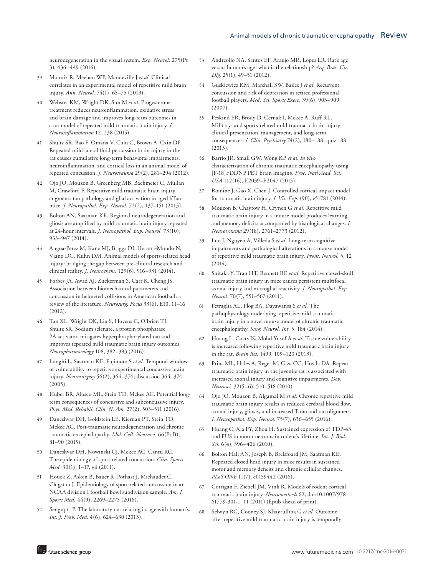neurodegeneration in the visual system. *Exp. Neurol.* 275(Pt 3), 436–449 (2016).

- 39 Mannix R, Meehan WP, Mandeville J *et al.* Clinical correlates in an experimental model of repetitive mild brain injury. *Ann. Neurol.* 74(1), 65–75 (2013).
- 40 Webster KM, Wright DK, Sun M *et al.* Progesterone treatment reduces neuroinflammation, oxidative stress and brain damage and improves long-term outcomes in a rat model of repeated mild traumatic brain injury. *J. Neuroinflammation* 12, 238 (2015).
- 41 Shultz SR, Bao F, Omana V, Chiu C, Brown A, Cain DP. Repeated mild lateral fluid percussion brain injury in the rat causes cumulative long-term behavioral impairments, neuroinflammation, and cortical loss in an animal model of repeated concussion. *J. Neurotrauma* 29(2), 281–294 (2012).
- 42 Ojo JO, Mouzon B, Greenberg MB, Bachmeier C, Mullan M, Crawford F. Repetitive mild traumatic brain injury augments tau pathology and glial activation in aged hTau mice. *J. Neuropathol. Exp. Neurol.* 72(2), 137–151 (2013).
- 43 Bolton AN, Saatman KE. Regional neurodegeneration and gliosis are amplified by mild traumatic brain injury repeated at 24-hour intervals. *J. Neuropathol. Exp. Neurol.* 73(10), 933–947 (2014).
- 44 Angoa-Perez M, Kane MJ, Briggs DI, Herrera-Mundo N, Viano DC, Kuhn DM. Animal models of sports-related head injury: bridging the gap between pre-clinical research and clinical reality. *J. Neurochem.* 129(6), 916–931 (2014).
- 45 Forbes JA, Awad AJ, Zuckerman S, Carr K, Cheng JS. Association between biomechanical parameters and concussion in helmeted collisions in American football: a review of the literature. *Neurosurg. Focus* 33(6), E10, 11–16 (2012).
- 46 Tan XL, Wright DK, Liu S, Hovens C, O'brien TJ, Shultz SR. Sodium selenate, a protein phosphatase 2A activator, mitigates hyperphosphorylated tau and improves repeated mild traumatic brain injury outcomes. *Neuropharmacology* 108, 382–393 (2016).
- 47 Longhi L, Saatman KE, Fujimoto S *et al.* Temporal window of vulnerability to repetitive experimental concussive brain injury. *Neurosurgery* 56(2), 364–374; discussion 364–374 (2005).
- 48 Huber BR, Alosco ML, Stein TD, Mckee AC. Potential longterm consequences of concussive and subconcussive injury. *Phys. Med. Rehabil. Clin. N. Am.* 27(2), 503–511 (2016).
- 49 Daneshvar DH, Goldstein LE, Kiernan PT, Stein TD, Mckee AC. Post-traumatic neurodegeneration and chronic traumatic encephalopathy. *Mol. Cell. Neurosci.* 66(Pt B), 81–90 (2015).
- 50 Daneshvar DH, Nowinski CJ, Mckee AC, Cantu RC. The epidemiology of sport-related concussion. *Clin. Sports Med.* 30(1), 1–17, vii (2011).
- 51 Houck Z, Asken B, Bauer R, Pothast J, Michaudet C, Clugston J. Epidemiology of sport-related concussion in an NCAA division I football bowl subdivision sample. *Am. J. Sports Med.* 44(9), 2269–2275 (2016).
- 52 Sengupta P. The laboratory rat: relating its age with human's. *Int. J. Prev. Med.* 4(6), 624–630 (2013).
- 53 Andreollo NA, Santos EF, Araujo MR, Lopes LR. Rat's age versus human's age: what is the relationship? *Arq. Bras. Cir. Dig.* 25(1), 49–51 (2012).
- 54 Guskiewicz KM, Marshall SW, Bailes J *et al.* Recurrent concussion and risk of depression in retired professional football players. *Med. Sci. Sports Exerc.* 39(6), 903–909 (2007).
- 55 Peskind ER, Brody D, Cernak I, Mckee A, Ruff RL. Military- and sports-related mild traumatic brain injury: clinical presentation, management, and long-term consequences. *J. Clin. Psychiatry* 74(2), 180–188; quiz 188 (2013).
- 56 Barrio JR, Small GW, Wong KP *et al. In vivo* characterization of chronic traumatic encephalopathy using [F-18]FDDNP PET brain imaging. *Proc. Natl Acad. Sci. USA* 112(16), E2039–E2047 (2015).
- 57 Romine J, Gao X, Chen J. Controlled cortical impact model for traumatic brain injury. *J. Vis. Exp.* (90), e51781 (2014).
- 58 Mouzon B, Chaytow H, Crynen G *et al.* Repetitive mild traumatic brain injury in a mouse model produces learning and memory deficits accompanied by histological changes. *J. Neurotrauma* 29(18), 2761–2773 (2012).
- 59 Luo J, Nguyen A, Villeda S *et al.* Long-term cognitive impairments and pathological alterations in a mouse model of repetitive mild traumatic brain injury. *Front. Neurol.* 5, 12 (2014).
- 60 Shitaka Y, Tran HT, Bennett RE *et al.* Repetitive closed-skull traumatic brain injury in mice causes persistent multifocal axonal injury and microglial reactivity. *J. Neuropathol. Exp. Neurol.* 70(7), 551–567 (2011).
- 61 Petraglia AL, Plog BA, Dayawansa S *et al.* The pathophysiology underlying repetitive mild traumatic brain injury in a novel mouse model of chronic traumatic encephalopathy. *Surg. Neurol. Int.* 5, 184 (2014).
- 62 Huang L, Coats JS, Mohd-Yusof A *et al.* Tissue vulnerability is increased following repetitive mild traumatic brain injury in the rat. *Brain Res.* 1499, 109–120 (2013).
- 63 Prins ML, Hales A, Reger M, Giza CC, Hovda DA. Repeat traumatic brain injury in the juvenile rat is associated with increased axonal injury and cognitive impairments. *Dev. Neurosci.* 32(5–6), 510–518 (2010).
- 64 Ojo JO, Mouzon B, Algamal M *et al.* Chronic repetitive mild traumatic brain injury results in reduced cerebral blood flow, axonal injury, gliosis, and increased T-tau and tau oligomers. *J. Neuropathol. Exp. Neurol.* 75(7), 636–655 (2016).
- 65 Huang C, Xia PY, Zhou H. Sustained expression of TDP-43 and FUS in motor neurons in rodent's lifetime. *Int. J. Biol. Sci.* 6(4), 396–406 (2010).
- 66 Bolton Hall AN, Joseph B, Brelsfoard JM, Saatman KE. Repeated closed head injury in mice results in sustained motor and memory deficits and chronic cellular changes. *PLoS ONE* 11(7), e0159442 (2016).
- 67 Corrigan F, Ziebell JM, Vink R. Models of rodent cortical traumatic brain injury. *Neuromethods* 62, doi:10.1007/978-1- 61779-301-1\_11 (2011) (Epub ahead of print).
- 68 Selwyn RG, Cooney SJ, Khayrullina G *et al.* Outcome after repetitive mild traumatic brain injury is temporally